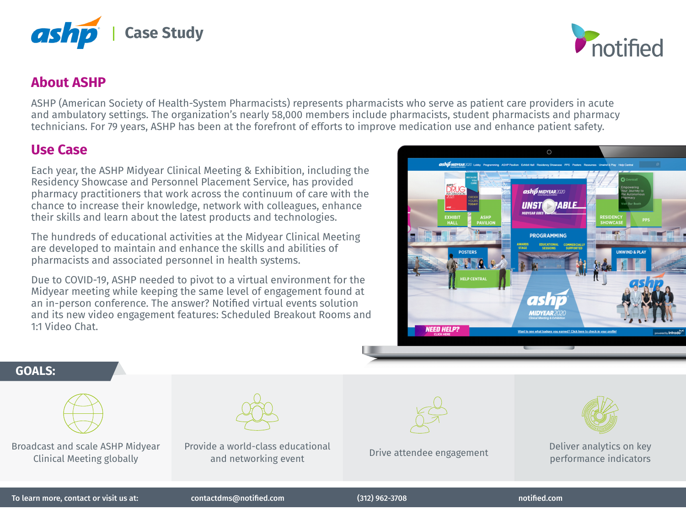

## **About ASHP**

ASHP (American Society of Health-System Pharmacists) represents pharmacists who serve as patient care providers in acute and ambulatory settings. The organization's nearly 58,000 members include pharmacists, student pharmacists and pharmacy technicians. For 79 years, ASHP has been at the forefront of efforts to improve medication use and enhance patient safety.

## **Use Case**

Each year, the ASHP Midyear Clinical Meeting & Exhibition, including the Residency Showcase and Personnel Placement Service, has provided pharmacy practitioners that work across the continuum of care with the chance to increase their knowledge, network with colleagues, enhance their skills and learn about the latest products and technologies.

The hundreds of educational activities at the Midyear Clinical Meeting are developed to maintain and enhance the skills and abilities of pharmacists and associated personnel in health systems.

Due to COVID-19, ASHP needed to pivot to a virtual environment for the Midyear meeting while keeping the same level of engagement found at an in-person conference. The answer? Notified virtual events solution and its new video engagement features: Scheduled Breakout Rooms and 1:1 Video Chat.